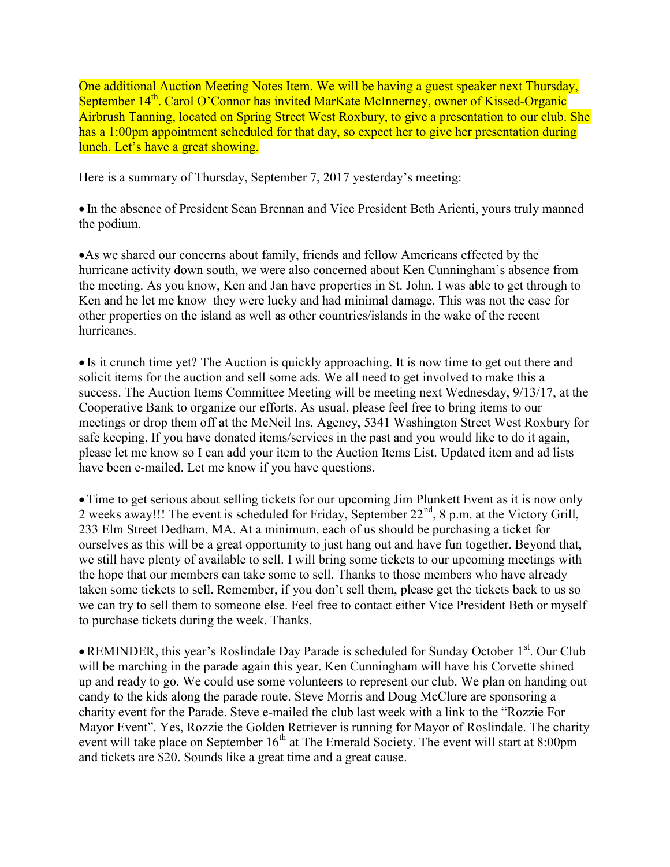One additional Auction Meeting Notes Item. We will be having a guest speaker next Thursday, September 14<sup>th</sup>. Carol O'Connor has invited MarKate McInnerney, owner of Kissed-Organic Airbrush Tanning, located on Spring Street West Roxbury, to give a presentation to our club. She has a 1:00pm appointment scheduled for that day, so expect her to give her presentation during lunch. Let's have a great showing.

Here is a summary of Thursday, September 7, 2017 yesterday's meeting:

 In the absence of President Sean Brennan and Vice President Beth Arienti, yours truly manned the podium.

As we shared our concerns about family, friends and fellow Americans effected by the hurricane activity down south, we were also concerned about Ken Cunningham's absence from the meeting. As you know, Ken and Jan have properties in St. John. I was able to get through to Ken and he let me know they were lucky and had minimal damage. This was not the case for other properties on the island as well as other countries/islands in the wake of the recent hurricanes.

• Is it crunch time yet? The Auction is quickly approaching. It is now time to get out there and solicit items for the auction and sell some ads. We all need to get involved to make this a success. The Auction Items Committee Meeting will be meeting next Wednesday, 9/13/17, at the Cooperative Bank to organize our efforts. As usual, please feel free to bring items to our meetings or drop them off at the McNeil Ins. Agency, 5341 Washington Street West Roxbury for safe keeping. If you have donated items/services in the past and you would like to do it again, please let me know so I can add your item to the Auction Items List. Updated item and ad lists have been e-mailed. Let me know if you have questions.

• Time to get serious about selling tickets for our upcoming Jim Plunkett Event as it is now only 2 weeks away!!! The event is scheduled for Friday, September 22<sup>nd</sup>, 8 p.m. at the Victory Grill, 233 Elm Street Dedham, MA. At a minimum, each of us should be purchasing a ticket for ourselves as this will be a great opportunity to just hang out and have fun together. Beyond that, we still have plenty of available to sell. I will bring some tickets to our upcoming meetings with the hope that our members can take some to sell. Thanks to those members who have already taken some tickets to sell. Remember, if you don't sell them, please get the tickets back to us so we can try to sell them to someone else. Feel free to contact either Vice President Beth or myself to purchase tickets during the week. Thanks.

 $\bullet$  REMINDER, this year's Roslindale Day Parade is scheduled for Sunday October 1<sup>st</sup>. Our Club will be marching in the parade again this year. Ken Cunningham will have his Corvette shined up and ready to go. We could use some volunteers to represent our club. We plan on handing out candy to the kids along the parade route. Steve Morris and Doug McClure are sponsoring a charity event for the Parade. Steve e-mailed the club last week with a link to the "Rozzie For Mayor Event". Yes, Rozzie the Golden Retriever is running for Mayor of Roslindale. The charity event will take place on September  $16<sup>th</sup>$  at The Emerald Society. The event will start at 8:00pm and tickets are \$20. Sounds like a great time and a great cause.